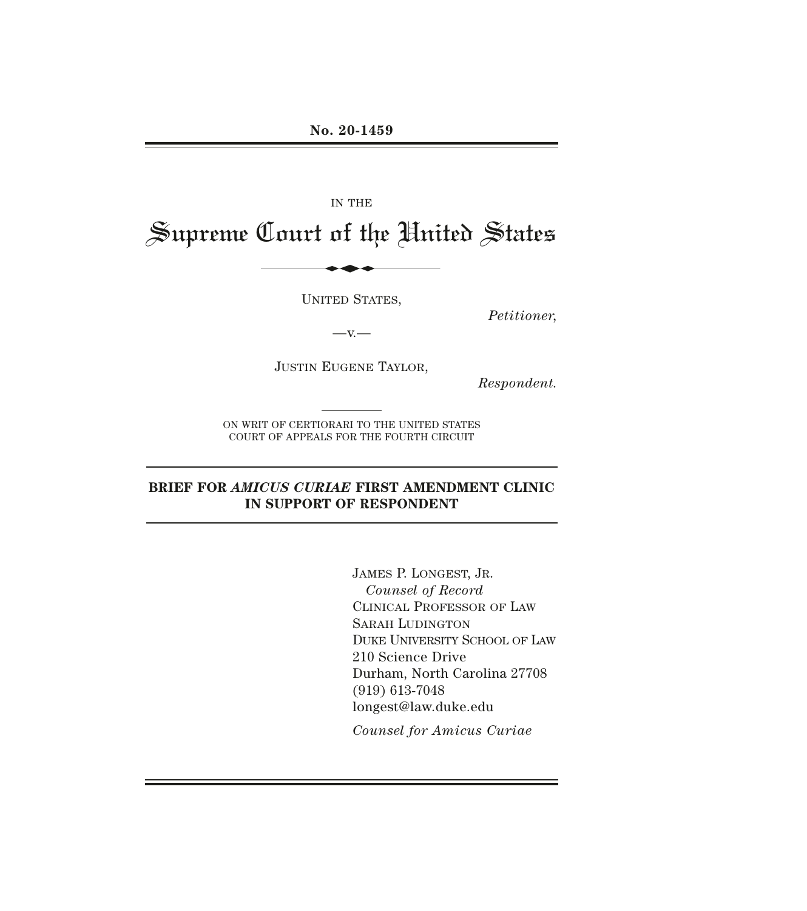# IN THE Supreme Court of the United States IN THE LOLLAS

UNITED STATES,

*Petitioner,* 

 $-x -$ 

JUSTIN EUGENE TAYLOR,

*Respondent.* 

ON WRIT OF CERTIORARI TO THE UNITED STATES COURT OF APPEALS FOR THE FOURTH CIRCUIT

## **BRIEF FOR** *AMICUS CURIAE* **FIRST AMENDMENT CLINIC IN SUPPORT OF RESPONDENT**

JAMES P. LONGEST, JR. *Counsel of Record*  CLINICAL PROFESSOR OF LAW SARAH LUDINGTON DUKE UNIVERSITY SCHOOL OF LAW 210 Science Drive Durham, North Carolina 27708 (919) 613-7048 longest@law.duke.edu

*Counsel for Amicus Curiae*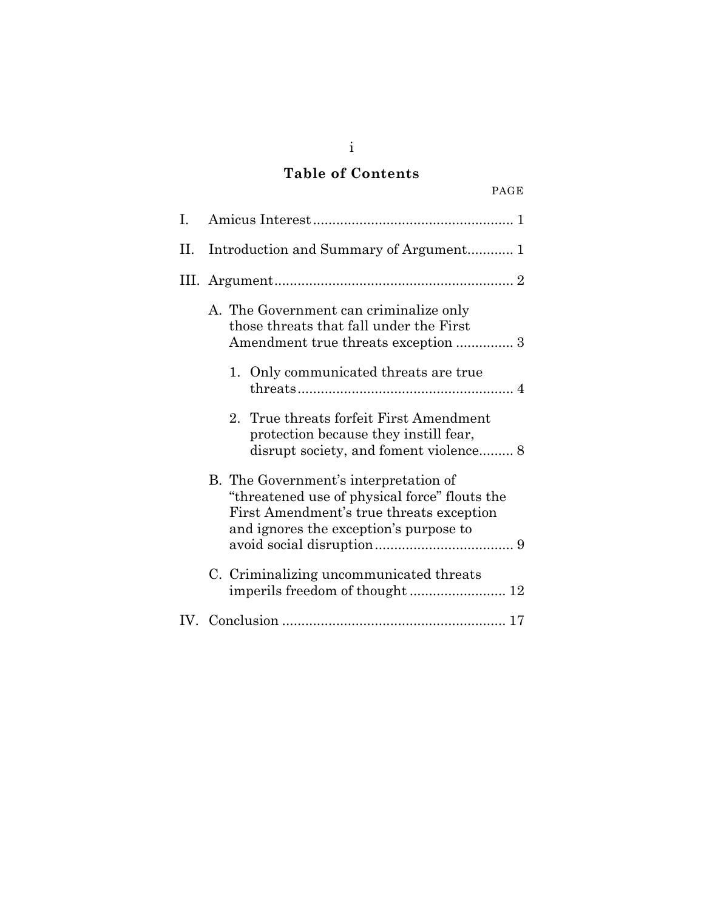# **Table of Contents**

| ۹ |
|---|
|---|

| L. |                                                                                                                                                                              |  |  |  |
|----|------------------------------------------------------------------------------------------------------------------------------------------------------------------------------|--|--|--|
| П. | Introduction and Summary of Argument 1                                                                                                                                       |  |  |  |
|    |                                                                                                                                                                              |  |  |  |
|    | A. The Government can criminalize only<br>those threats that fall under the First<br>Amendment true threats exception  3                                                     |  |  |  |
|    | 1. Only communicated threats are true                                                                                                                                        |  |  |  |
|    | 2. True threats forfeit First Amendment<br>protection because they instill fear,<br>disrupt society, and foment violence 8                                                   |  |  |  |
|    | B. The Government's interpretation of<br>"threatened use of physical force" flouts the<br>First Amendment's true threats exception<br>and ignores the exception's purpose to |  |  |  |
|    | C. Criminalizing uncommunicated threats                                                                                                                                      |  |  |  |
|    |                                                                                                                                                                              |  |  |  |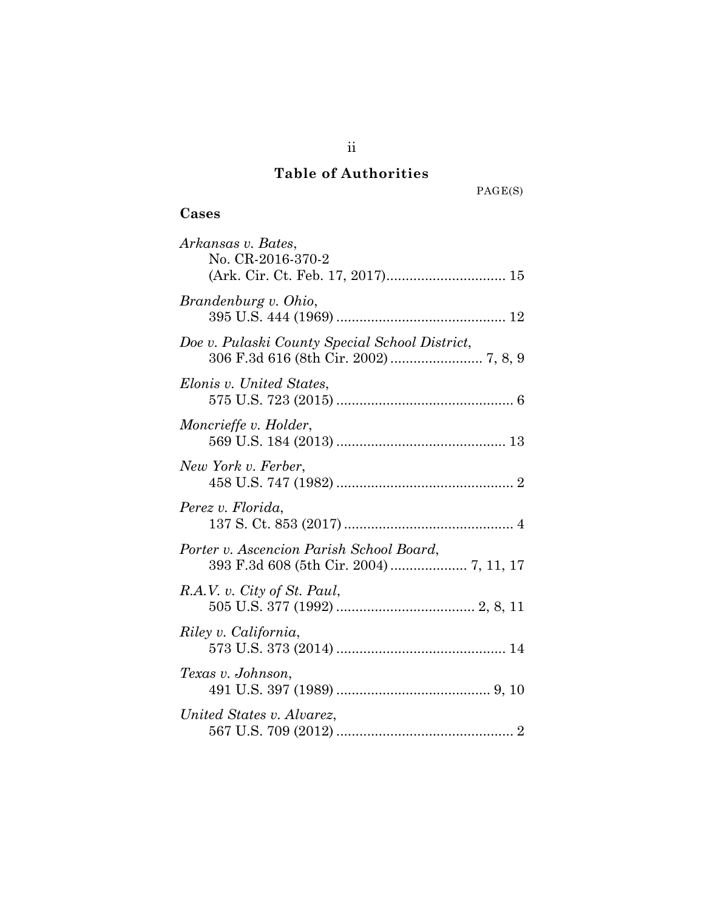# **Table of Authorities**

 $\mathrm{PAGE}(\mathcal{S})$ 

# **Cases**

| Arkansas v. Bates,<br>No. CR-2016-370-2                                             |
|-------------------------------------------------------------------------------------|
| Brandenburg v. Ohio,                                                                |
| Doe v. Pulaski County Special School District,                                      |
| Elonis v. United States,                                                            |
| Moncrieffe v. Holder,                                                               |
| New York v. Ferber,                                                                 |
| Perez v. Florida,                                                                   |
| Porter v. Ascencion Parish School Board,<br>393 F.3d 608 (5th Cir. 2004)  7, 11, 17 |
| R.A.V. v. City of St. Paul,                                                         |
| Riley v. California,                                                                |
| Texas v. Johnson,                                                                   |
| United States v. Alvarez,                                                           |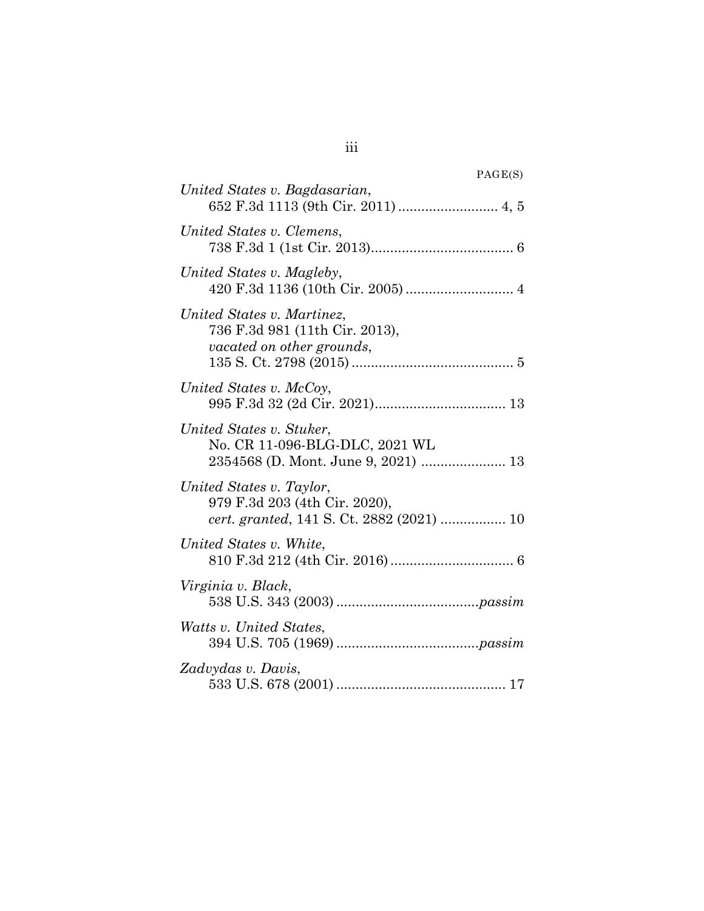| PAGE(S)                                                                                                |
|--------------------------------------------------------------------------------------------------------|
| United States v. Bagdasarian,                                                                          |
| United States v. Clemens,                                                                              |
| United States v. Magleby,                                                                              |
| United States v. Martinez,<br>736 F.3d 981 (11th Cir. 2013),<br>vacated on other grounds,              |
| United States v. McCoy,                                                                                |
| United States v. Stuker,<br>No. CR 11-096-BLG-DLC, 2021 WL                                             |
| United States v. Taylor,<br>979 F.3d 203 (4th Cir. 2020),<br>cert. granted, 141 S. Ct. 2882 (2021)  10 |
| United States v. White,                                                                                |
| Virginia v. Black,                                                                                     |
| Watts v. United States,                                                                                |
| Zadvydas v. Davis,                                                                                     |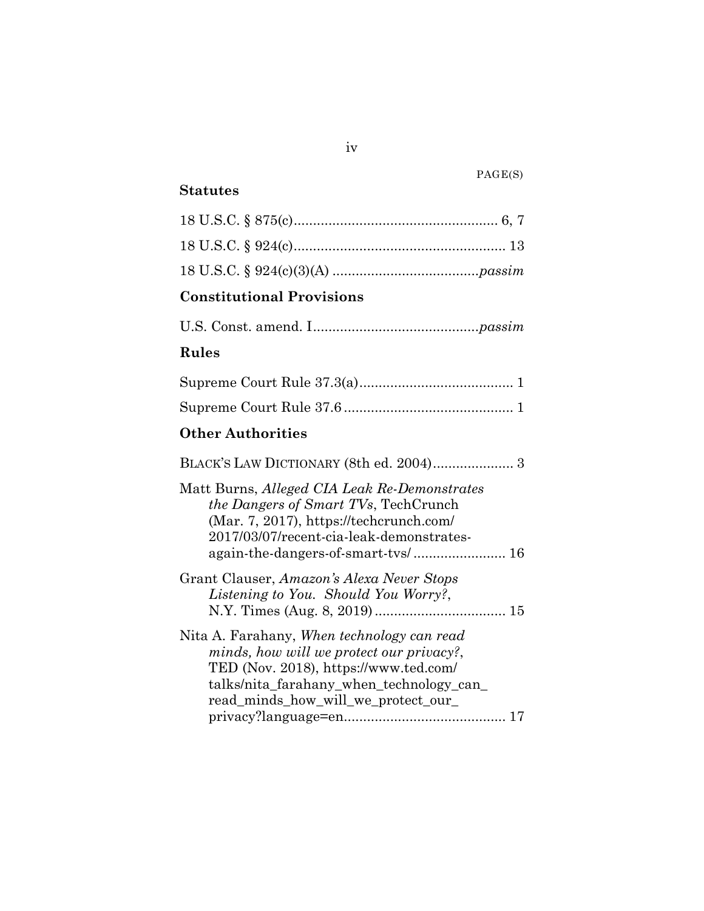## **Statutes**

# **Constitutional Provisions**

# **Rules**

# **Other Authorities**

| Matt Burns, Alleged CIA Leak Re-Demonstrates<br><i>the Dangers of Smart TVs, TechCrunch</i><br>$(Mar. 7, 2017)$ , https://techcrunch.com/<br>2017/03/07/recent-cia-leak-demonstrates-                             |  |
|-------------------------------------------------------------------------------------------------------------------------------------------------------------------------------------------------------------------|--|
| again-the-dangers-of-smart-tvs/ 16                                                                                                                                                                                |  |
| Grant Clauser, Amazon's Alexa Never Stops<br><i>Listening to You. Should You Worry?,</i>                                                                                                                          |  |
| Nita A. Farahany, When technology can read<br>minds, how will we protect our privacy?,<br>TED (Nov. 2018), https://www.ted.com/<br>talks/nita_farahany_when_technology_can_<br>read minds how will we protect our |  |
|                                                                                                                                                                                                                   |  |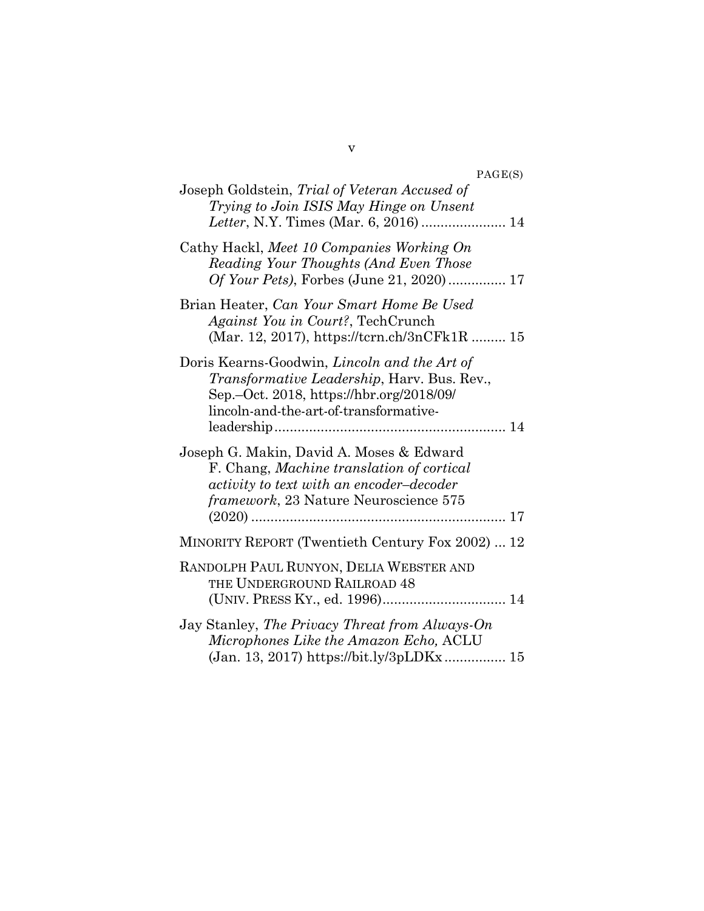PAGE(S)

| Joseph Goldstein, Trial of Veteran Accused of<br>Trying to Join ISIS May Hinge on Unsent                                                                                                  |
|-------------------------------------------------------------------------------------------------------------------------------------------------------------------------------------------|
| Cathy Hackl, Meet 10 Companies Working On<br>Reading Your Thoughts (And Even Those<br><i>Of Your Pets</i> ), Forbes (June 21, 2020) 17                                                    |
| Brian Heater, Can Your Smart Home Be Used<br>Against You in Court?, TechCrunch<br>(Mar. 12, 2017), https://tcrn.ch/3nCFk1R  15                                                            |
| Doris Kearns-Goodwin, Lincoln and the Art of<br><i>Transformative Leadership</i> , Harv. Bus. Rev.,<br>Sep.-Oct. 2018, https://hbr.org/2018/09/<br>lincoln-and-the-art-of-transformative- |
| Joseph G. Makin, David A. Moses & Edward<br>F. Chang, Machine translation of cortical<br>activity to text with an encoder-decoder<br><i>framework</i> , 23 Nature Neuroscience 575        |
| MINORITY REPORT (Twentieth Century Fox 2002)  12                                                                                                                                          |
| RANDOLPH PAUL RUNYON, DELIA WEBSTER AND<br>THE UNDERGROUND RAILROAD 48                                                                                                                    |
| Jay Stanley, The Privacy Threat from Always-On<br>Microphones Like the Amazon Echo, ACLU<br>(Jan. 13, 2017) https://bit.ly/3pLDKx 15                                                      |

v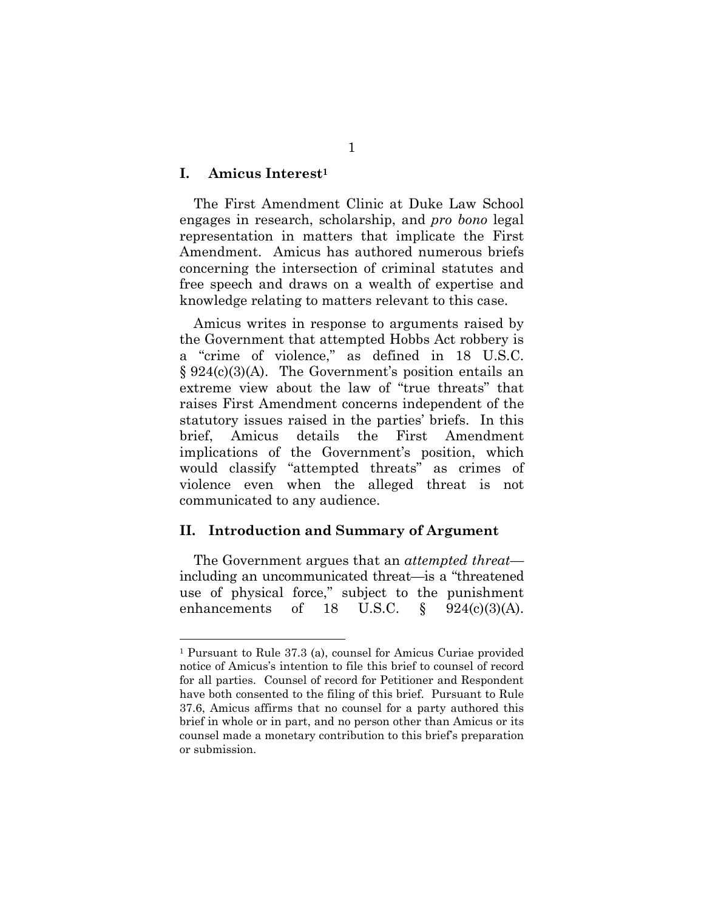#### **I. Amicus Interest1**

The First Amendment Clinic at Duke Law School engages in research, scholarship, and *pro bono* legal representation in matters that implicate the First Amendment. Amicus has authored numerous briefs concerning the intersection of criminal statutes and free speech and draws on a wealth of expertise and knowledge relating to matters relevant to this case.

Amicus writes in response to arguments raised by the Government that attempted Hobbs Act robbery is a "crime of violence," as defined in 18 U.S.C. § 924(c)(3)(A). The Government's position entails an extreme view about the law of "true threats" that raises First Amendment concerns independent of the statutory issues raised in the parties' briefs. In this brief, Amicus details the First Amendment implications of the Government's position, which would classify "attempted threats" as crimes of violence even when the alleged threat is not communicated to any audience.

#### **II. Introduction and Summary of Argument**

The Government argues that an *attempted threat* including an uncommunicated threat—is a "threatened use of physical force," subject to the punishment enhancements of 18 U.S.C.  $\S$  924(c)(3)(A).

<sup>1</sup> Pursuant to Rule 37.3 (a), counsel for Amicus Curiae provided notice of Amicus's intention to file this brief to counsel of record for all parties. Counsel of record for Petitioner and Respondent have both consented to the filing of this brief. Pursuant to Rule 37.6, Amicus affirms that no counsel for a party authored this brief in whole or in part, and no person other than Amicus or its counsel made a monetary contribution to this brief's preparation or submission.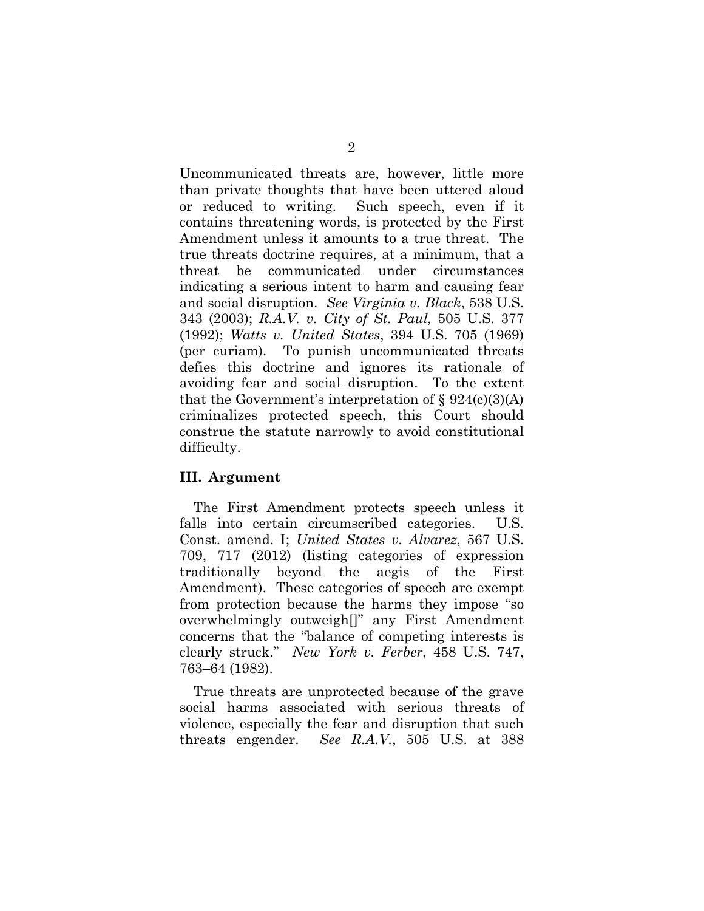Uncommunicated threats are, however, little more than private thoughts that have been uttered aloud or reduced to writing. Such speech, even if it contains threatening words, is protected by the First Amendment unless it amounts to a true threat. The true threats doctrine requires, at a minimum, that a threat be communicated under circumstances indicating a serious intent to harm and causing fear and social disruption. *See Virginia v. Black*, 538 U.S. 343 (2003); *R.A.V. v. City of St. Paul,* 505 U.S. 377 (1992); *Watts v. United States*, 394 U.S. 705 (1969) (per curiam). To punish uncommunicated threats defies this doctrine and ignores its rationale of avoiding fear and social disruption. To the extent that the Government's interpretation of  $\S 924(c)(3)(A)$ criminalizes protected speech, this Court should construe the statute narrowly to avoid constitutional difficulty.

#### **III. Argument**

The First Amendment protects speech unless it falls into certain circumscribed categories. U.S. Const. amend. I; *United States v. Alvarez*, 567 U.S. 709, 717 (2012) (listing categories of expression traditionally beyond the aegis of the First Amendment). These categories of speech are exempt from protection because the harms they impose "so overwhelmingly outweigh[]" any First Amendment concerns that the "balance of competing interests is clearly struck." *New York v. Ferber*, 458 U.S. 747, 763–64 (1982).

True threats are unprotected because of the grave social harms associated with serious threats of violence, especially the fear and disruption that such threats engender. *See R.A.V.*, 505 U.S. at 388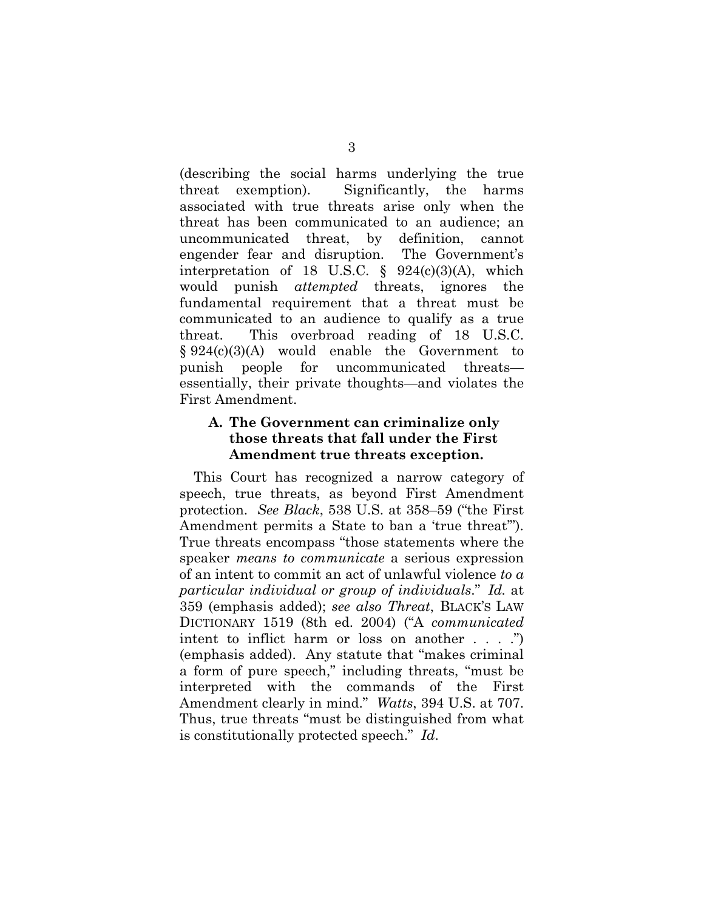(describing the social harms underlying the true threat exemption). Significantly, the harms associated with true threats arise only when the threat has been communicated to an audience; an uncommunicated threat, by definition, cannot engender fear and disruption. The Government's interpretation of 18 U.S.C.  $\S$  924(c)(3)(A), which would punish *attempted* threats, ignores the fundamental requirement that a threat must be communicated to an audience to qualify as a true threat. This overbroad reading of 18 U.S.C. § 924(c)(3)(A) would enable the Government to punish people for uncommunicated threats essentially, their private thoughts—and violates the First Amendment.

## **A. The Government can criminalize only those threats that fall under the First Amendment true threats exception.**

This Court has recognized a narrow category of speech, true threats, as beyond First Amendment protection. *See Black*, 538 U.S. at 358–59 ("the First Amendment permits a State to ban a 'true threat'"). True threats encompass "those statements where the speaker *means to communicate* a serious expression of an intent to commit an act of unlawful violence *to a particular individual or group of individuals*." *Id.* at 359 (emphasis added); *see also Threat*, BLACK'S LAW DICTIONARY 1519 (8th ed. 2004) ("A *communicated*  intent to inflict harm or loss on another . . . .") (emphasis added). Any statute that "makes criminal a form of pure speech," including threats, "must be interpreted with the commands of the First Amendment clearly in mind." *Watts*, 394 U.S. at 707. Thus, true threats "must be distinguished from what is constitutionally protected speech." *Id*.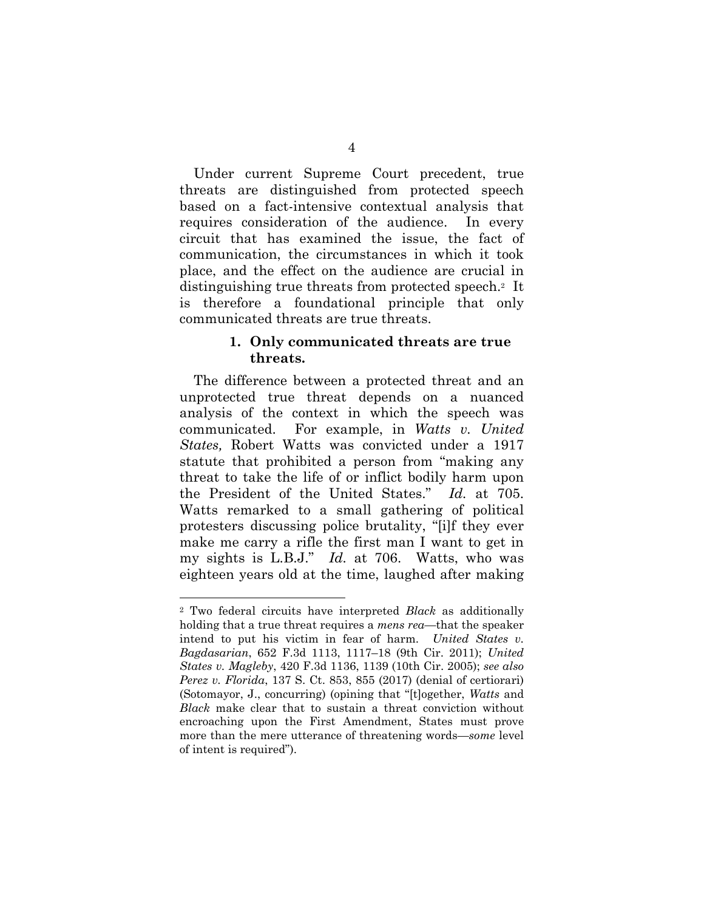Under current Supreme Court precedent, true threats are distinguished from protected speech based on a fact-intensive contextual analysis that requires consideration of the audience. In every circuit that has examined the issue, the fact of communication, the circumstances in which it took place, and the effect on the audience are crucial in distinguishing true threats from protected speech.2 It is therefore a foundational principle that only communicated threats are true threats.

#### **1. Only communicated threats are true threats.**

The difference between a protected threat and an unprotected true threat depends on a nuanced analysis of the context in which the speech was communicated. For example, in *Watts v. United States,* Robert Watts was convicted under a 1917 statute that prohibited a person from "making any threat to take the life of or inflict bodily harm upon the President of the United States." *Id.* at 705. Watts remarked to a small gathering of political protesters discussing police brutality, "[i]f they ever make me carry a rifle the first man I want to get in my sights is L.B.J." *Id.* at 706. Watts, who was eighteen years old at the time, laughed after making

<sup>2</sup> Two federal circuits have interpreted *Black* as additionally holding that a true threat requires a *mens rea*—that the speaker intend to put his victim in fear of harm. *United States v. Bagdasarian*, 652 F.3d 1113, 1117–18 (9th Cir. 2011); *United States v. Magleby*, 420 F.3d 1136, 1139 (10th Cir. 2005); *see also Perez v. Florida*, 137 S. Ct. 853, 855 (2017) (denial of certiorari) (Sotomayor, J., concurring) (opining that "[t]ogether, *Watts* and *Black* make clear that to sustain a threat conviction without encroaching upon the First Amendment, States must prove more than the mere utterance of threatening words—*some* level of intent is required").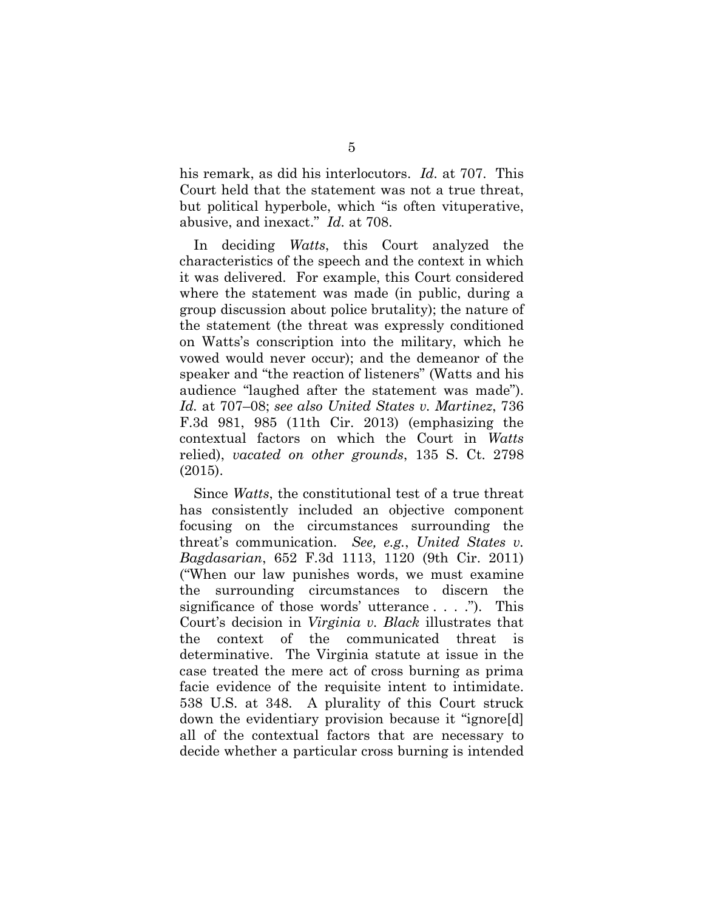his remark, as did his interlocutors. *Id.* at 707. This Court held that the statement was not a true threat, but political hyperbole, which "is often vituperative, abusive, and inexact." *Id.* at 708.

In deciding *Watts*, this Court analyzed the characteristics of the speech and the context in which it was delivered. For example, this Court considered where the statement was made (in public, during a group discussion about police brutality); the nature of the statement (the threat was expressly conditioned on Watts's conscription into the military, which he vowed would never occur); and the demeanor of the speaker and "the reaction of listeners" (Watts and his audience "laughed after the statement was made"). *Id.* at 707–08; *see also United States v. Martinez*, 736 F.3d 981, 985 (11th Cir. 2013) (emphasizing the contextual factors on which the Court in *Watts*  relied), *vacated on other grounds*, 135 S. Ct. 2798 (2015).

Since *Watts*, the constitutional test of a true threat has consistently included an objective component focusing on the circumstances surrounding the threat's communication. *See, e.g.*, *United States v. Bagdasarian*, 652 F.3d 1113, 1120 (9th Cir. 2011) ("When our law punishes words, we must examine the surrounding circumstances to discern the significance of those words' utterance . . . ."). This Court's decision in *Virginia v. Black* illustrates that the context of the communicated threat is determinative. The Virginia statute at issue in the case treated the mere act of cross burning as prima facie evidence of the requisite intent to intimidate. 538 U.S. at 348. A plurality of this Court struck down the evidentiary provision because it "ignore[d] all of the contextual factors that are necessary to decide whether a particular cross burning is intended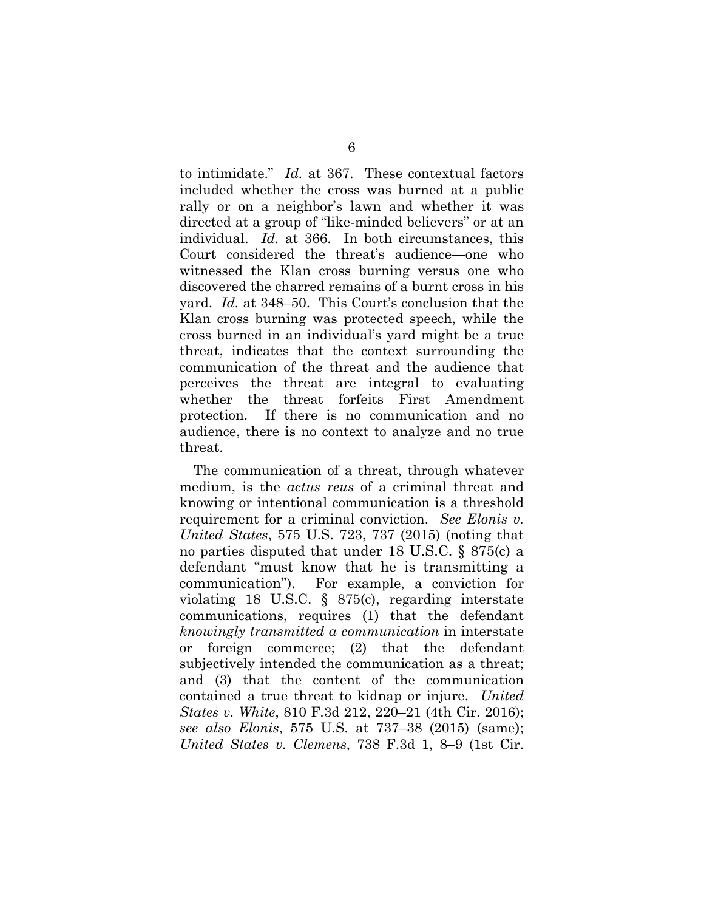to intimidate." *Id.* at 367. These contextual factors included whether the cross was burned at a public rally or on a neighbor's lawn and whether it was directed at a group of "like-minded believers" or at an individual. *Id.* at 366. In both circumstances, this Court considered the threat's audience—one who witnessed the Klan cross burning versus one who discovered the charred remains of a burnt cross in his yard. *Id.* at 348–50. This Court's conclusion that the Klan cross burning was protected speech, while the cross burned in an individual's yard might be a true threat, indicates that the context surrounding the communication of the threat and the audience that perceives the threat are integral to evaluating whether the threat forfeits First Amendment protection. If there is no communication and no audience, there is no context to analyze and no true threat.

The communication of a threat, through whatever medium, is the *actus reus* of a criminal threat and knowing or intentional communication is a threshold requirement for a criminal conviction. *See Elonis v. United States*, 575 U.S. 723, 737 (2015) (noting that no parties disputed that under 18 U.S.C. § 875(c) a defendant "must know that he is transmitting a communication"). For example, a conviction for violating 18 U.S.C. § 875(c), regarding interstate communications, requires (1) that the defendant *knowingly transmitted a communication* in interstate or foreign commerce; (2) that the defendant subjectively intended the communication as a threat; and (3) that the content of the communication contained a true threat to kidnap or injure. *United States v. White*, 810 F.3d 212, 220–21 (4th Cir. 2016); *see also Elonis*, 575 U.S. at 737–38 (2015) (same); *United States v. Clemens*, 738 F.3d 1, 8–9 (1st Cir.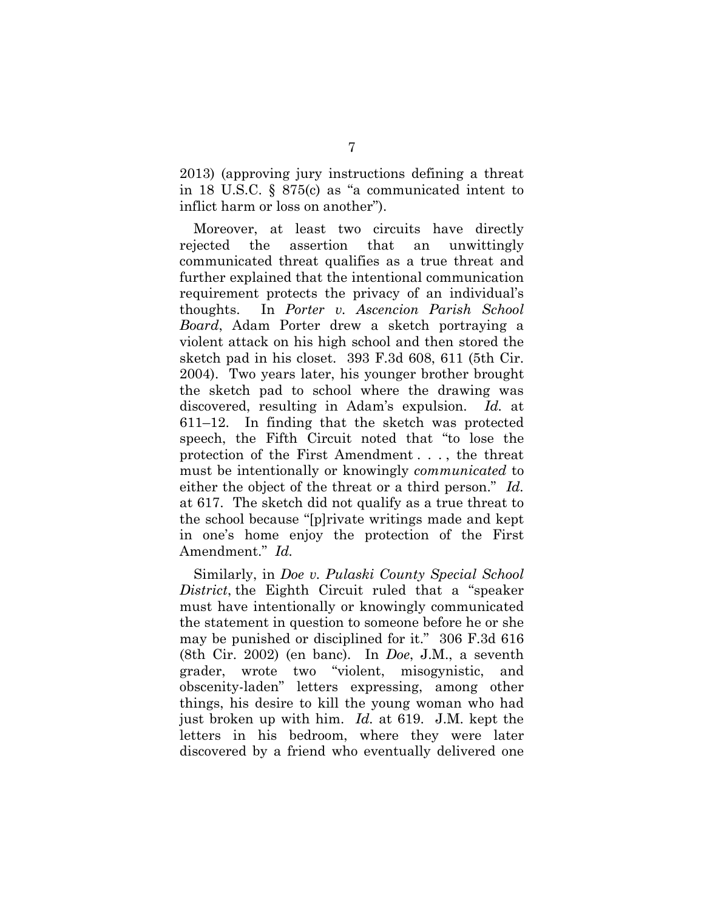2013) (approving jury instructions defining a threat in 18 U.S.C. § 875(c) as "a communicated intent to inflict harm or loss on another").

Moreover, at least two circuits have directly rejected the assertion that an unwittingly communicated threat qualifies as a true threat and further explained that the intentional communication requirement protects the privacy of an individual's thoughts. In *Porter v. Ascencion Parish School Board*, Adam Porter drew a sketch portraying a violent attack on his high school and then stored the sketch pad in his closet. 393 F.3d 608, 611 (5th Cir. 2004). Two years later, his younger brother brought the sketch pad to school where the drawing was discovered, resulting in Adam's expulsion. *Id.* at 611–12. In finding that the sketch was protected speech, the Fifth Circuit noted that "to lose the protection of the First Amendment . . . , the threat must be intentionally or knowingly *communicated* to either the object of the threat or a third person." *Id.* at 617. The sketch did not qualify as a true threat to the school because "[p]rivate writings made and kept in one's home enjoy the protection of the First Amendment." *Id.*

Similarly, in *Doe v. Pulaski County Special School District*, the Eighth Circuit ruled that a "speaker must have intentionally or knowingly communicated the statement in question to someone before he or she may be punished or disciplined for it." 306 F.3d 616 (8th Cir. 2002) (en banc). In *Doe*, J.M., a seventh grader, wrote two "violent, misogynistic, and obscenity-laden" letters expressing, among other things, his desire to kill the young woman who had just broken up with him. *Id.* at 619. J.M. kept the letters in his bedroom, where they were later discovered by a friend who eventually delivered one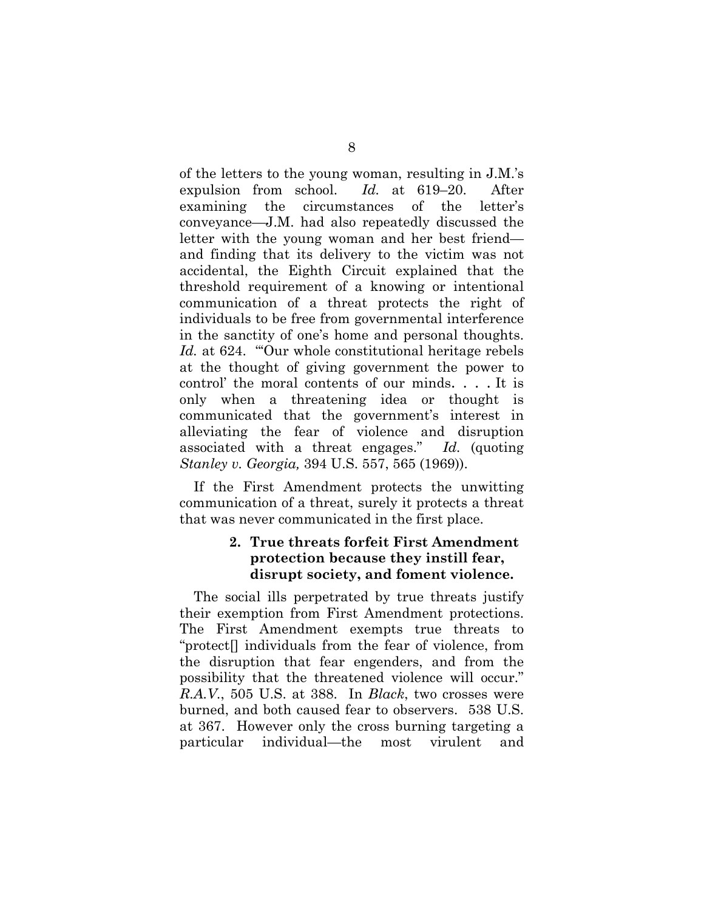of the letters to the young woman, resulting in J.M.'s expulsion from school. *Id.* at 619–20. After examining the circumstances of the letter's conveyance—J.M. had also repeatedly discussed the letter with the young woman and her best friend and finding that its delivery to the victim was not accidental, the Eighth Circuit explained that the threshold requirement of a knowing or intentional communication of a threat protects the right of individuals to be free from governmental interference in the sanctity of one's home and personal thoughts. Id. at 624. "Our whole constitutional heritage rebels at the thought of giving government the power to control' the moral contents of our minds. . . . It is only when a threatening idea or thought is communicated that the government's interest in alleviating the fear of violence and disruption associated with a threat engages." *Id.* (quoting *Stanley v. Georgia,* 394 U.S. 557, 565 (1969)).

If the First Amendment protects the unwitting communication of a threat, surely it protects a threat that was never communicated in the first place.

## **2. True threats forfeit First Amendment protection because they instill fear, disrupt society, and foment violence.**

The social ills perpetrated by true threats justify their exemption from First Amendment protections. The First Amendment exempts true threats to "protect[] individuals from the fear of violence, from the disruption that fear engenders, and from the possibility that the threatened violence will occur." *R.A.V.*, 505 U.S. at 388. In *Black*, two crosses were burned, and both caused fear to observers. 538 U.S. at 367. However only the cross burning targeting a particular individual—the most virulent and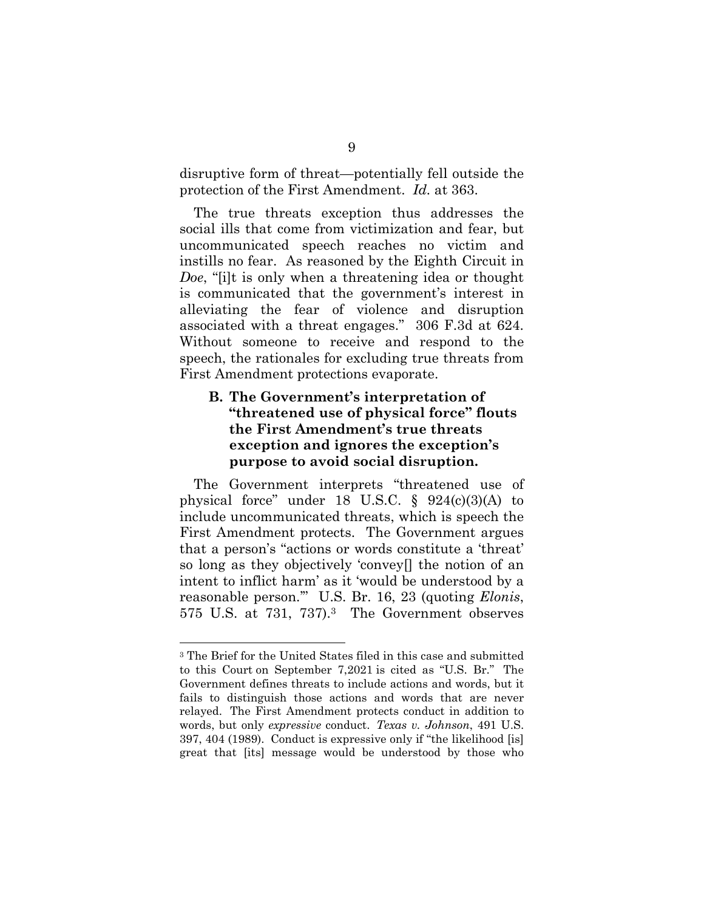disruptive form of threat—potentially fell outside the protection of the First Amendment. *Id.* at 363.

The true threats exception thus addresses the social ills that come from victimization and fear, but uncommunicated speech reaches no victim and instills no fear. As reasoned by the Eighth Circuit in *Doe*, "[i]t is only when a threatening idea or thought is communicated that the government's interest in alleviating the fear of violence and disruption associated with a threat engages." 306 F.3d at 624. Without someone to receive and respond to the speech, the rationales for excluding true threats from First Amendment protections evaporate.

## **B. The Government's interpretation of "threatened use of physical force" flouts the First Amendment's true threats exception and ignores the exception's purpose to avoid social disruption.**

The Government interprets "threatened use of physical force" under 18 U.S.C. § 924(c)(3)(A) to include uncommunicated threats, which is speech the First Amendment protects. The Government argues that a person's "actions or words constitute a 'threat' so long as they objectively 'convey[] the notion of an intent to inflict harm' as it 'would be understood by a reasonable person.'" U.S. Br. 16, 23 (quoting *Elonis*, 575 U.S. at 731, 737).3 The Government observes

<sup>3</sup> The Brief for the United States filed in this case and submitted to this Court on September 7,2021 is cited as "U.S. Br." The Government defines threats to include actions and words, but it fails to distinguish those actions and words that are never relayed. The First Amendment protects conduct in addition to words, but only *expressive* conduct. *Texas v. Johnson*, 491 U.S. 397, 404 (1989). Conduct is expressive only if "the likelihood [is] great that [its] message would be understood by those who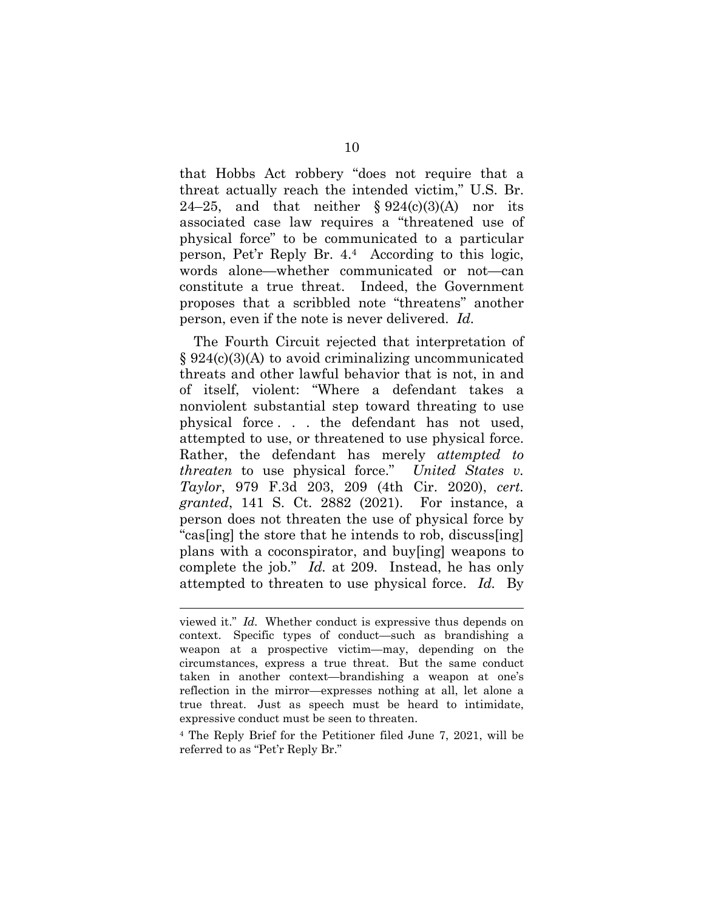that Hobbs Act robbery "does not require that a threat actually reach the intended victim," U.S. Br. 24–25, and that neither  $\S 924(c)(3)(A)$  nor its associated case law requires a "threatened use of physical force" to be communicated to a particular person, Pet'r Reply Br. 4.4 According to this logic, words alone—whether communicated or not—can constitute a true threat. Indeed, the Government proposes that a scribbled note "threatens" another person, even if the note is never delivered. *Id.*

The Fourth Circuit rejected that interpretation of § 924(c)(3)(A) to avoid criminalizing uncommunicated threats and other lawful behavior that is not, in and of itself, violent: "Where a defendant takes a nonviolent substantial step toward threating to use physical force . . . the defendant has not used, attempted to use, or threatened to use physical force. Rather, the defendant has merely *attempted to threaten* to use physical force." *United States v. Taylor*, 979 F.3d 203, 209 (4th Cir. 2020), *cert. granted*, 141 S. Ct. 2882 (2021). For instance, a person does not threaten the use of physical force by "cas[ing] the store that he intends to rob, discuss[ing] plans with a coconspirator, and buy[ing] weapons to complete the job." *Id.* at 209. Instead, he has only attempted to threaten to use physical force. *Id.* By

viewed it." *Id.* Whether conduct is expressive thus depends on context. Specific types of conduct—such as brandishing a weapon at a prospective victim—may, depending on the circumstances, express a true threat. But the same conduct taken in another context—brandishing a weapon at one's reflection in the mirror—expresses nothing at all, let alone a true threat. Just as speech must be heard to intimidate, expressive conduct must be seen to threaten.

<sup>4</sup> The Reply Brief for the Petitioner filed June 7, 2021, will be referred to as "Pet'r Reply Br."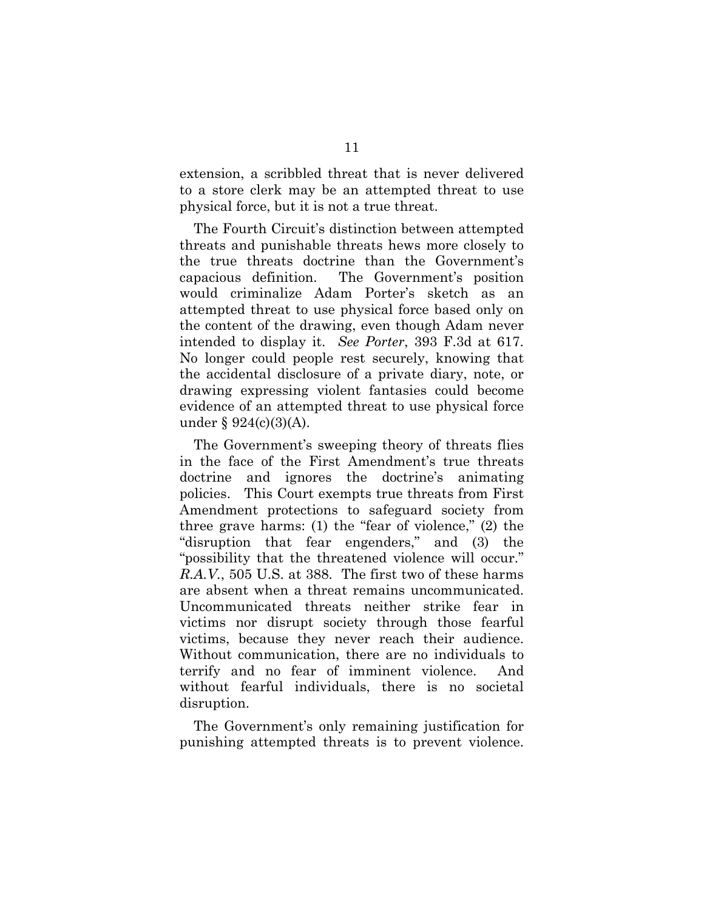extension, a scribbled threat that is never delivered to a store clerk may be an attempted threat to use physical force, but it is not a true threat.

The Fourth Circuit's distinction between attempted threats and punishable threats hews more closely to the true threats doctrine than the Government's capacious definition. The Government's position would criminalize Adam Porter's sketch as an attempted threat to use physical force based only on the content of the drawing, even though Adam never intended to display it. *See Porter*, 393 F.3d at 617. No longer could people rest securely, knowing that the accidental disclosure of a private diary, note, or drawing expressing violent fantasies could become evidence of an attempted threat to use physical force under § 924(c)(3)(A).

The Government's sweeping theory of threats flies in the face of the First Amendment's true threats doctrine and ignores the doctrine's animating policies. This Court exempts true threats from First Amendment protections to safeguard society from three grave harms: (1) the "fear of violence," (2) the "disruption that fear engenders," and (3) the "possibility that the threatened violence will occur." *R.A.V.*, 505 U.S. at 388. The first two of these harms are absent when a threat remains uncommunicated. Uncommunicated threats neither strike fear in victims nor disrupt society through those fearful victims, because they never reach their audience. Without communication, there are no individuals to terrify and no fear of imminent violence. And without fearful individuals, there is no societal disruption.

The Government's only remaining justification for punishing attempted threats is to prevent violence.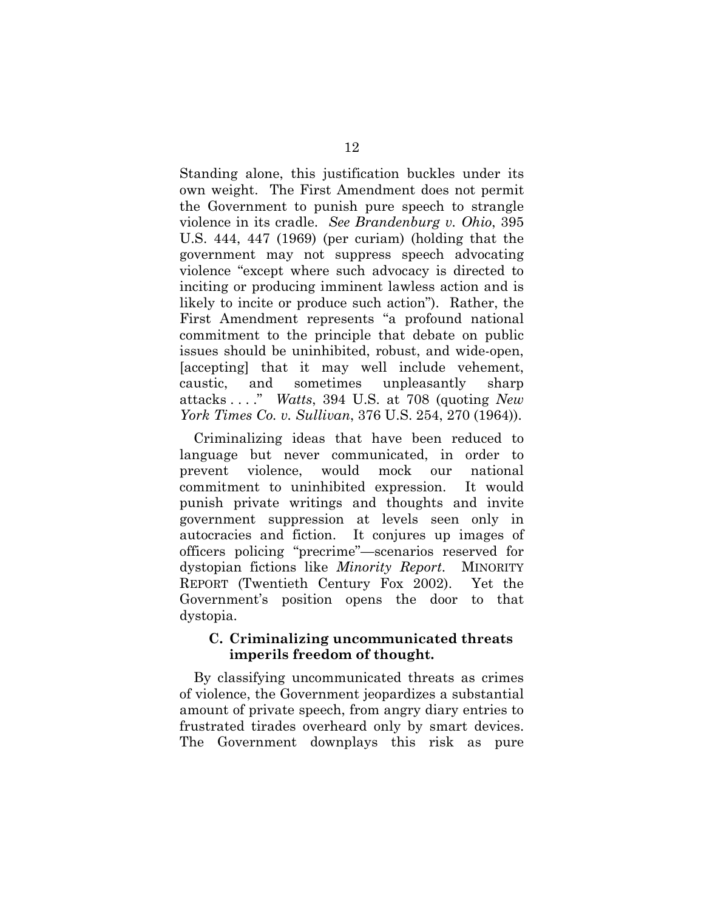Standing alone, this justification buckles under its own weight. The First Amendment does not permit the Government to punish pure speech to strangle violence in its cradle. *See Brandenburg v. Ohio*, 395 U.S. 444, 447 (1969) (per curiam) (holding that the government may not suppress speech advocating violence "except where such advocacy is directed to inciting or producing imminent lawless action and is likely to incite or produce such action"). Rather, the First Amendment represents "a profound national commitment to the principle that debate on public issues should be uninhibited, robust, and wide-open, [accepting] that it may well include vehement, caustic, and sometimes unpleasantly sharp attacks . . . ." *Watts*, 394 U.S. at 708 (quoting *New York Times Co. v. Sullivan*, 376 U.S. 254, 270 (1964)).

Criminalizing ideas that have been reduced to language but never communicated, in order to prevent violence, would mock our national commitment to uninhibited expression. It would punish private writings and thoughts and invite government suppression at levels seen only in autocracies and fiction. It conjures up images of officers policing "precrime"—scenarios reserved for dystopian fictions like *Minority Report*. MINORITY REPORT (Twentieth Century Fox 2002). Yet the Government's position opens the door to that dystopia.

### **C. Criminalizing uncommunicated threats imperils freedom of thought.**

By classifying uncommunicated threats as crimes of violence, the Government jeopardizes a substantial amount of private speech, from angry diary entries to frustrated tirades overheard only by smart devices. The Government downplays this risk as pure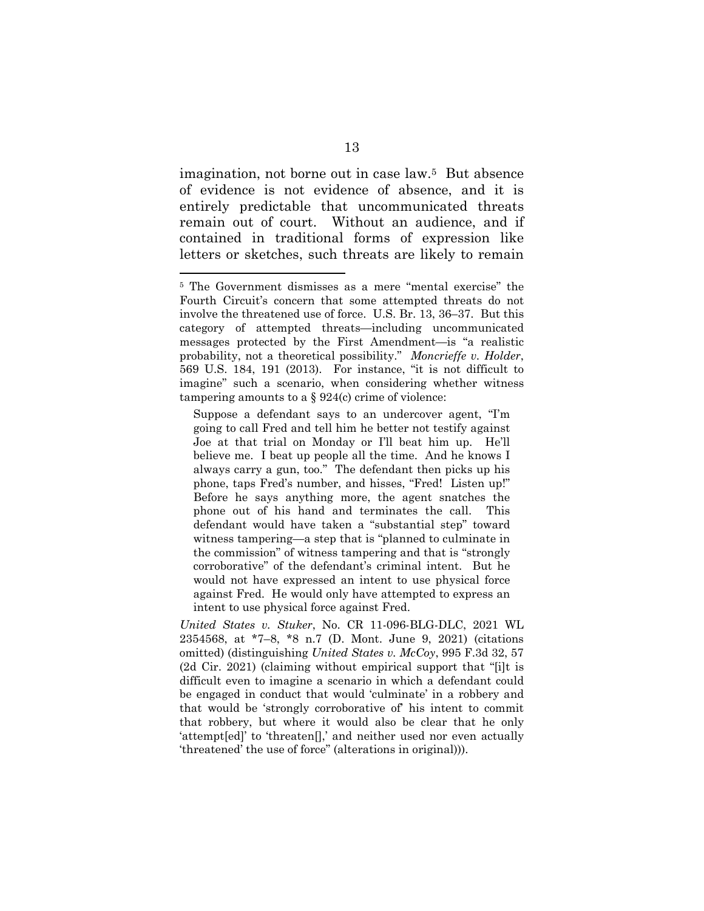imagination, not borne out in case law.5 But absence of evidence is not evidence of absence, and it is entirely predictable that uncommunicated threats remain out of court. Without an audience, and if contained in traditional forms of expression like letters or sketches, such threats are likely to remain

*United States v. Stuker*, No. CR 11-096-BLG-DLC, 2021 WL 2354568, at \*7–8, \*8 n.7 (D. Mont. June 9, 2021) (citations omitted) (distinguishing *United States v. McCoy*, 995 F.3d 32, 57 (2d Cir. 2021) (claiming without empirical support that "[i]t is difficult even to imagine a scenario in which a defendant could be engaged in conduct that would 'culminate' in a robbery and that would be 'strongly corroborative of' his intent to commit that robbery, but where it would also be clear that he only 'attempt[ed]' to 'threaten[],' and neither used nor even actually 'threatened' the use of force" (alterations in original))).

<sup>5</sup> The Government dismisses as a mere "mental exercise" the Fourth Circuit's concern that some attempted threats do not involve the threatened use of force. U.S. Br. 13, 36–37. But this category of attempted threats—including uncommunicated messages protected by the First Amendment—is "a realistic probability, not a theoretical possibility." *Moncrieffe v. Holder*, 569 U.S. 184, 191 (2013). For instance, "it is not difficult to imagine" such a scenario, when considering whether witness tampering amounts to a  $\S 924(c)$  crime of violence:

Suppose a defendant says to an undercover agent, "I'm going to call Fred and tell him he better not testify against Joe at that trial on Monday or I'll beat him up. He'll believe me. I beat up people all the time. And he knows I always carry a gun, too." The defendant then picks up his phone, taps Fred's number, and hisses, "Fred! Listen up!" Before he says anything more, the agent snatches the phone out of his hand and terminates the call. This defendant would have taken a "substantial step" toward witness tampering—a step that is "planned to culminate in the commission" of witness tampering and that is "strongly corroborative" of the defendant's criminal intent. But he would not have expressed an intent to use physical force against Fred. He would only have attempted to express an intent to use physical force against Fred.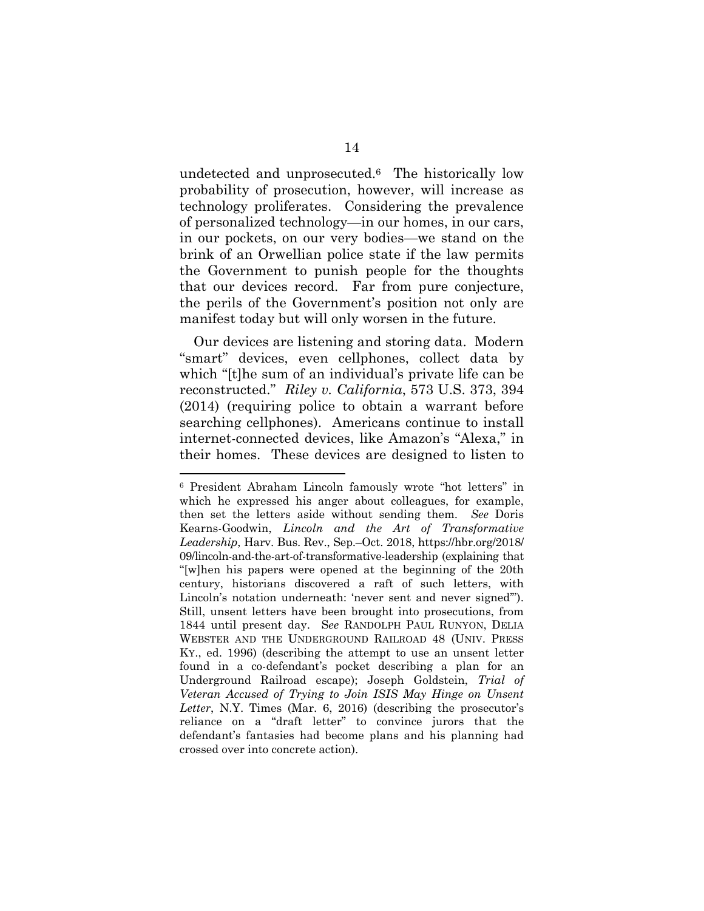undetected and unprosecuted.6 The historically low probability of prosecution, however, will increase as technology proliferates. Considering the prevalence of personalized technology—in our homes, in our cars, in our pockets, on our very bodies—we stand on the brink of an Orwellian police state if the law permits the Government to punish people for the thoughts that our devices record. Far from pure conjecture, the perils of the Government's position not only are manifest today but will only worsen in the future.

Our devices are listening and storing data. Modern "smart" devices, even cellphones, collect data by which "[t]he sum of an individual's private life can be reconstructed." *Riley v. California*, 573 U.S. 373, 394 (2014) (requiring police to obtain a warrant before searching cellphones). Americans continue to install internet-connected devices, like Amazon's "Alexa," in their homes. These devices are designed to listen to

<sup>6</sup> President Abraham Lincoln famously wrote "hot letters" in which he expressed his anger about colleagues, for example, then set the letters aside without sending them. *See* Doris Kearns-Goodwin, *Lincoln and the Art of Transformative Leadership*, Harv. Bus. Rev., Sep.–Oct. 2018, https://hbr.org/2018/ 09/lincoln-and-the-art-of-transformative-leadership (explaining that "[w]hen his papers were opened at the beginning of the 20th century, historians discovered a raft of such letters, with Lincoln's notation underneath: 'never sent and never signed'"). Still, unsent letters have been brought into prosecutions, from 1844 until present day. S*ee* RANDOLPH PAUL RUNYON, DELIA WEBSTER AND THE UNDERGROUND RAILROAD 48 (UNIV. PRESS KY., ed. 1996) (describing the attempt to use an unsent letter found in a co-defendant's pocket describing a plan for an Underground Railroad escape); Joseph Goldstein, *Trial of Veteran Accused of Trying to Join ISIS May Hinge on Unsent Letter*, N.Y. Times (Mar. 6, 2016) (describing the prosecutor's reliance on a "draft letter" to convince jurors that the defendant's fantasies had become plans and his planning had crossed over into concrete action).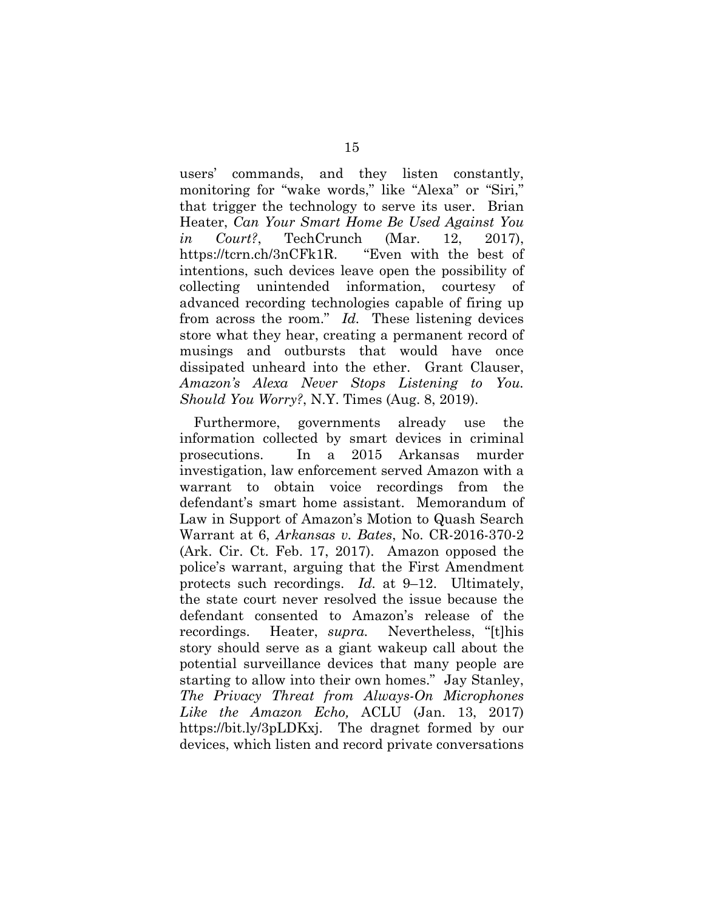users' commands, and they listen constantly, monitoring for "wake words," like "Alexa" or "Siri," that trigger the technology to serve its user. Brian Heater, *Can Your Smart Home Be Used Against You in Court?*, TechCrunch (Mar. 12, 2017), https://tcrn.ch/3nCFk1R. "Even with the best of intentions, such devices leave open the possibility of collecting unintended information, courtesy of advanced recording technologies capable of firing up from across the room." *Id.* These listening devices store what they hear, creating a permanent record of musings and outbursts that would have once dissipated unheard into the ether. Grant Clauser, *Amazon's Alexa Never Stops Listening to You. Should You Worry?*, N.Y. Times (Aug. 8, 2019).

Furthermore, governments already use the information collected by smart devices in criminal prosecutions. In a 2015 Arkansas murder investigation, law enforcement served Amazon with a warrant to obtain voice recordings from the defendant's smart home assistant. Memorandum of Law in Support of Amazon's Motion to Quash Search Warrant at 6, *Arkansas v. Bates*, No. CR-2016-370-2 (Ark. Cir. Ct. Feb. 17, 2017). Amazon opposed the police's warrant, arguing that the First Amendment protects such recordings. *Id.* at 9–12. Ultimately, the state court never resolved the issue because the defendant consented to Amazon's release of the recordings. Heater, *supra.* Nevertheless, "[t]his story should serve as a giant wakeup call about the potential surveillance devices that many people are starting to allow into their own homes." Jay Stanley, *The Privacy Threat from Always-On Microphones Like the Amazon Echo,* ACLU (Jan. 13, 2017) https://bit.ly/3pLDKxj. The dragnet formed by our devices, which listen and record private conversations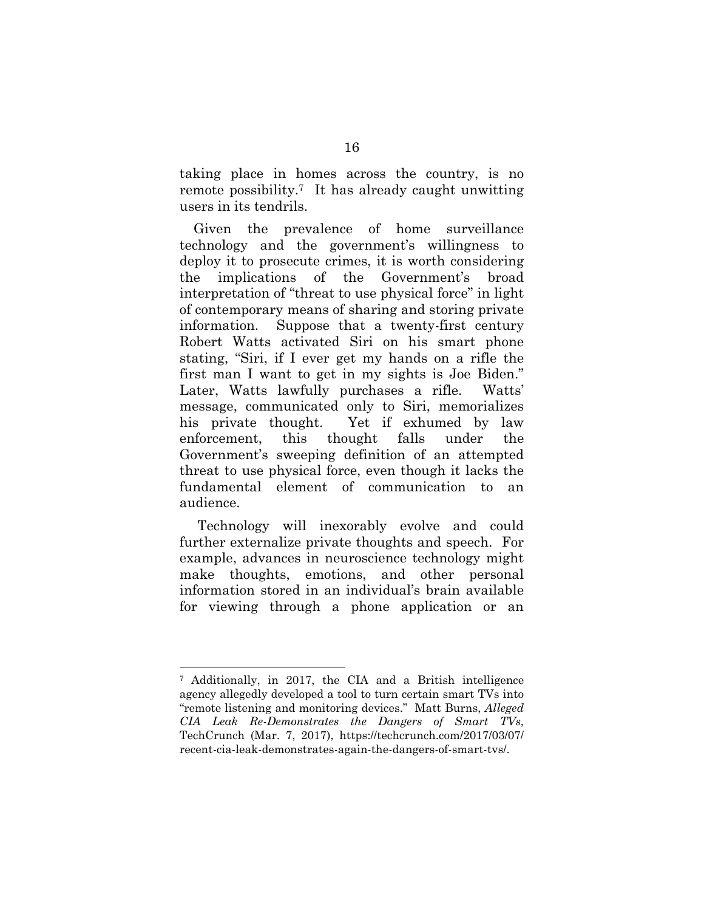taking place in homes across the country, is no remote possibility.7 It has already caught unwitting users in its tendrils.

Given the prevalence of home surveillance technology and the government's willingness to deploy it to prosecute crimes, it is worth considering the implications of the Government's broad interpretation of "threat to use physical force" in light of contemporary means of sharing and storing private information. Suppose that a twenty-first century Robert Watts activated Siri on his smart phone stating, "Siri, if I ever get my hands on a rifle the first man I want to get in my sights is Joe Biden." Later, Watts lawfully purchases a rifle. Watts' message, communicated only to Siri, memorializes his private thought. Yet if exhumed by law enforcement, this thought falls under the Government's sweeping definition of an attempted threat to use physical force, even though it lacks the fundamental element of communication to an audience.

 Technology will inexorably evolve and could further externalize private thoughts and speech. For example, advances in neuroscience technology might make thoughts, emotions, and other personal information stored in an individual's brain available for viewing through a phone application or an

<sup>7</sup> Additionally, in 2017, the CIA and a British intelligence agency allegedly developed a tool to turn certain smart TVs into "remote listening and monitoring devices." Matt Burns, *Alleged CIA Leak Re-Demonstrates the Dangers of Smart TVs*, TechCrunch (Mar. 7, 2017), https://techcrunch.com/2017/03/07/ recent-cia-leak-demonstrates-again-the-dangers-of-smart-tvs/.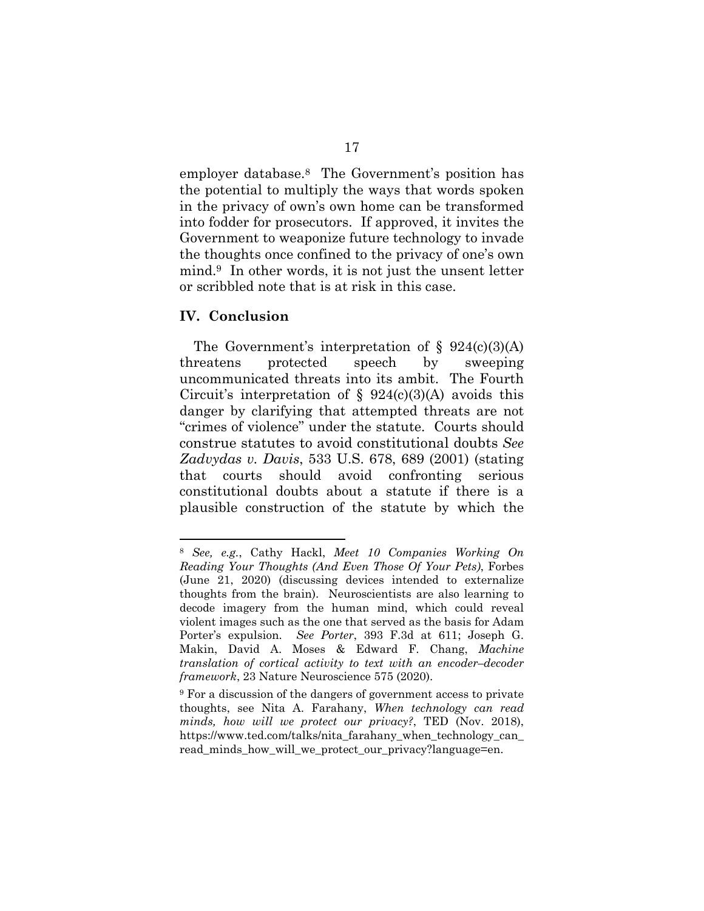employer database.8 The Government's position has the potential to multiply the ways that words spoken in the privacy of own's own home can be transformed into fodder for prosecutors. If approved, it invites the Government to weaponize future technology to invade the thoughts once confined to the privacy of one's own mind.9 In other words, it is not just the unsent letter or scribbled note that is at risk in this case.

#### **IV. Conclusion**

The Government's interpretation of  $\S$  924(c)(3)(A) threatens protected speech by sweeping uncommunicated threats into its ambit. The Fourth Circuit's interpretation of  $\S$  924(c)(3)(A) avoids this danger by clarifying that attempted threats are not "crimes of violence" under the statute. Courts should construe statutes to avoid constitutional doubts *See Zadvydas v. Davis*, 533 U.S. 678, 689 (2001) (stating that courts should avoid confronting serious constitutional doubts about a statute if there is a plausible construction of the statute by which the

<sup>8</sup> *See, e.g.*, Cathy Hackl, *Meet 10 Companies Working On Reading Your Thoughts (And Even Those Of Your Pets)*, Forbes (June 21, 2020) (discussing devices intended to externalize thoughts from the brain). Neuroscientists are also learning to decode imagery from the human mind, which could reveal violent images such as the one that served as the basis for Adam Porter's expulsion. *See Porter*, 393 F.3d at 611; Joseph G. Makin, David A. Moses & Edward F. Chang, *Machine translation of cortical activity to text with an encoder-decoder framework*, 23 Nature Neuroscience 575 (2020).

<sup>9</sup> For a discussion of the dangers of government access to private thoughts, see Nita A. Farahany, *When technology can read minds, how will we protect our privacy?*, TED (Nov. 2018), https://www.ted.com/talks/nita\_farahany\_when\_technology\_can\_ read minds how will we protect our privacy?language=en.